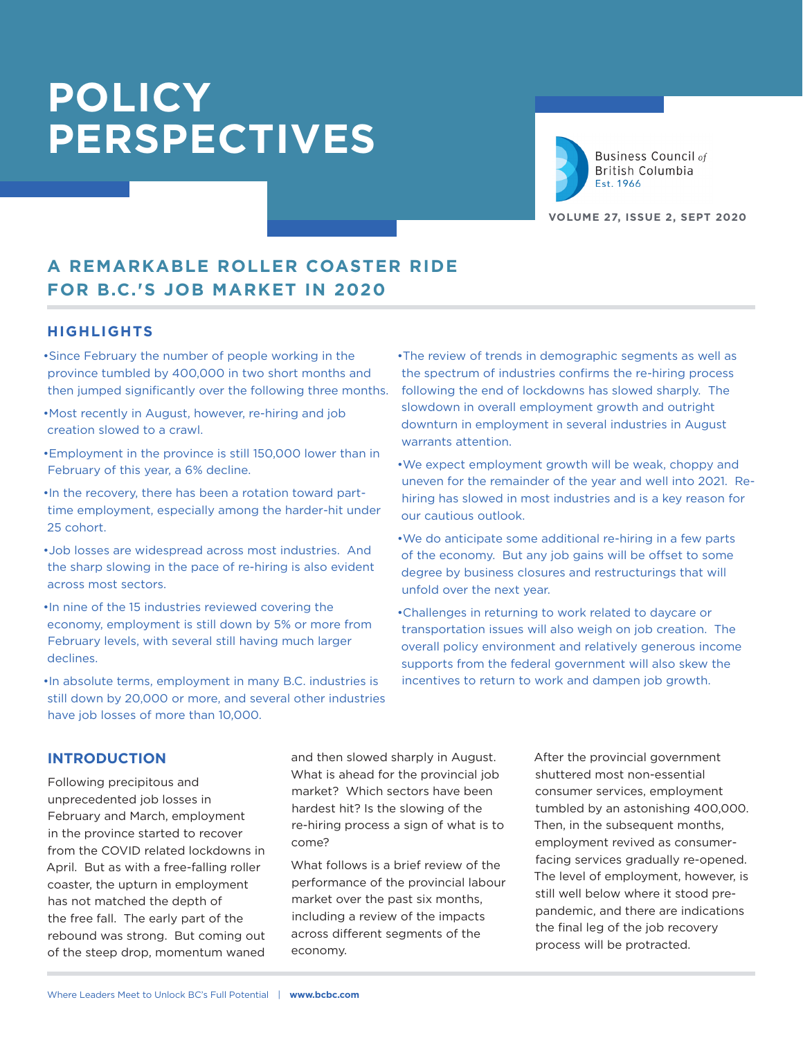

**Business Council of** British Columbia Est. 1966

**VOLUME 27, ISSUE 2, SEPT 2020**

# **A REMARKABLE ROLLER COASTER RIDE FOR B.C.'S JOB MARKET IN 2020**

#### **HIGHLIGHTS**

- •Since February the number of people working in the province tumbled by 400,000 in two short months and then jumped significantly over the following three months.
- •Most recently in August, however, re-hiring and job creation slowed to a crawl.
- •Employment in the province is still 150,000 lower than in February of this year, a 6% decline.
- •In the recovery, there has been a rotation toward parttime employment, especially among the harder-hit under 25 cohort.
- •Job losses are widespread across most industries. And the sharp slowing in the pace of re-hiring is also evident across most sectors.
- •In nine of the 15 industries reviewed covering the economy, employment is still down by 5% or more from February levels, with several still having much larger declines.
- •In absolute terms, employment in many B.C. industries is still down by 20,000 or more, and several other industries have job losses of more than 10,000.
- •The review of trends in demographic segments as well as the spectrum of industries confirms the re-hiring process following the end of lockdowns has slowed sharply. The slowdown in overall employment growth and outright downturn in employment in several industries in August warrants attention.
- •We expect employment growth will be weak, choppy and uneven for the remainder of the year and well into 2021. Rehiring has slowed in most industries and is a key reason for our cautious outlook.
- •We do anticipate some additional re-hiring in a few parts of the economy. But any job gains will be offset to some degree by business closures and restructurings that will unfold over the next year.
- •Challenges in returning to work related to daycare or transportation issues will also weigh on job creation. The overall policy environment and relatively generous income supports from the federal government will also skew the incentives to return to work and dampen job growth.

#### **INTRODUCTION**

Following precipitous and unprecedented job losses in February and March, employment in the province started to recover from the COVID related lockdowns in April. But as with a free-falling roller coaster, the upturn in employment has not matched the depth of the free fall. The early part of the rebound was strong. But coming out of the steep drop, momentum waned and then slowed sharply in August. What is ahead for the provincial job market? Which sectors have been hardest hit? Is the slowing of the re-hiring process a sign of what is to come?

What follows is a brief review of the performance of the provincial labour market over the past six months, including a review of the impacts across different segments of the economy.

After the provincial government shuttered most non-essential consumer services, employment tumbled by an astonishing 400,000. Then, in the subsequent months, employment revived as consumerfacing services gradually re-opened. The level of employment, however, is still well below where it stood prepandemic, and there are indications the final leg of the job recovery process will be protracted.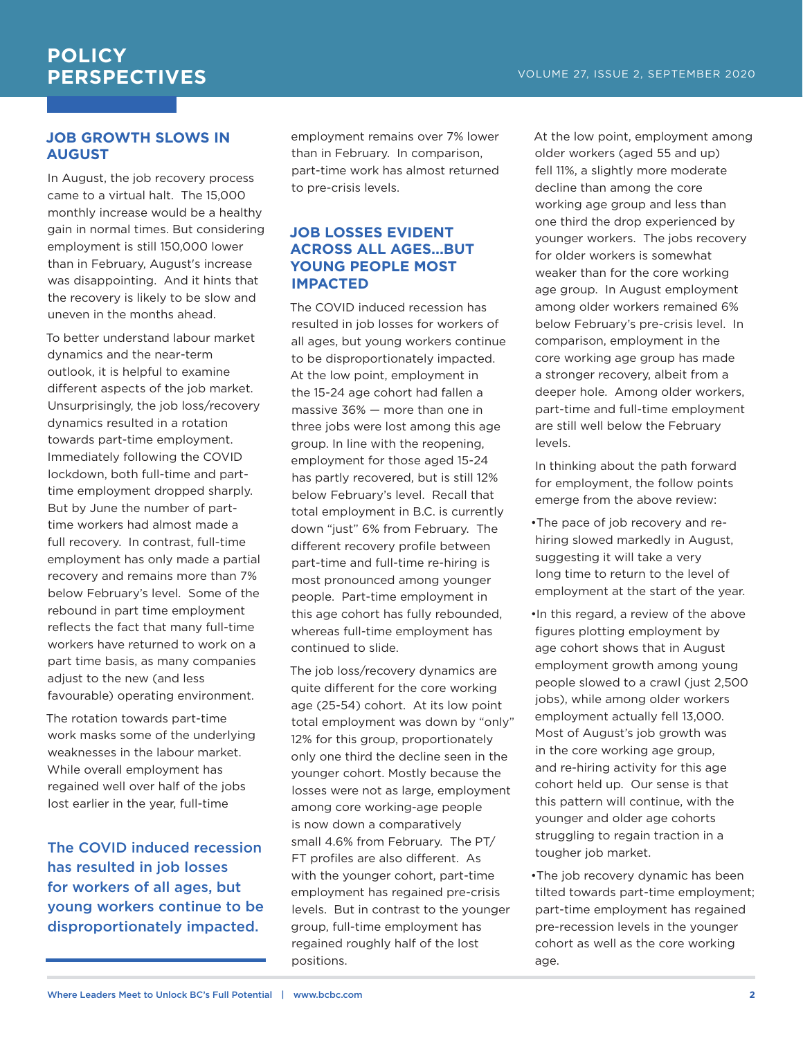#### **JOB GROWTH SLOWS IN AUGUST**

In August, the job recovery process came to a virtual halt. The 15,000 monthly increase would be a healthy gain in normal times. But considering employment is still 150,000 lower than in February, August's increase was disappointing. And it hints that the recovery is likely to be slow and uneven in the months ahead.

To better understand labour market dynamics and the near-term outlook, it is helpful to examine different aspects of the job market. Unsurprisingly, the job loss/recovery dynamics resulted in a rotation towards part-time employment. Immediately following the COVID lockdown, both full-time and parttime employment dropped sharply. But by June the number of parttime workers had almost made a full recovery. In contrast, full-time employment has only made a partial recovery and remains more than 7% below February's level. Some of the rebound in part time employment reflects the fact that many full-time workers have returned to work on a part time basis, as many companies adjust to the new (and less favourable) operating environment.

The rotation towards part-time work masks some of the underlying weaknesses in the labour market. While overall employment has regained well over half of the jobs lost earlier in the year, full-time

The COVID induced recession has resulted in job losses for workers of all ages, but young workers continue to be disproportionately impacted.

employment remains over 7% lower than in February. In comparison, part-time work has almost returned to pre-crisis levels.

#### **JOB LOSSES EVIDENT ACROSS ALL AGES...BUT YOUNG PEOPLE MOST IMPACTED**

The COVID induced recession has resulted in job losses for workers of all ages, but young workers continue to be disproportionately impacted. At the low point, employment in the 15-24 age cohort had fallen a massive 36% — more than one in three jobs were lost among this age group. In line with the reopening, employment for those aged 15-24 has partly recovered, but is still 12% below February's level. Recall that total employment in B.C. is currently down "just" 6% from February. The different recovery profile between part-time and full-time re-hiring is most pronounced among younger people. Part-time employment in this age cohort has fully rebounded, whereas full-time employment has continued to slide.

The job loss/recovery dynamics are quite different for the core working age (25-54) cohort. At its low point total employment was down by "only" 12% for this group, proportionately only one third the decline seen in the younger cohort. Mostly because the losses were not as large, employment among core working-age people is now down a comparatively small 4.6% from February. The PT/ FT profiles are also different. As with the younger cohort, part-time employment has regained pre-crisis levels. But in contrast to the younger group, full-time employment has regained roughly half of the lost positions.

At the low point, employment among older workers (aged 55 and up) fell 11%, a slightly more moderate decline than among the core working age group and less than one third the drop experienced by younger workers. The jobs recovery for older workers is somewhat weaker than for the core working age group. In August employment among older workers remained 6% below February's pre-crisis level. In comparison, employment in the core working age group has made a stronger recovery, albeit from a deeper hole. Among older workers, part-time and full-time employment are still well below the February levels.

In thinking about the path forward for employment, the follow points emerge from the above review:

- •The pace of job recovery and rehiring slowed markedly in August, suggesting it will take a very long time to return to the level of employment at the start of the year.
- •In this regard, a review of the above figures plotting employment by age cohort shows that in August employment growth among young people slowed to a crawl (just 2,500 jobs), while among older workers employment actually fell 13,000. Most of August's job growth was in the core working age group, and re-hiring activity for this age cohort held up. Our sense is that this pattern will continue, with the younger and older age cohorts struggling to regain traction in a tougher job market.
- •The job recovery dynamic has been tilted towards part-time employment; part-time employment has regained pre-recession levels in the younger cohort as well as the core working age.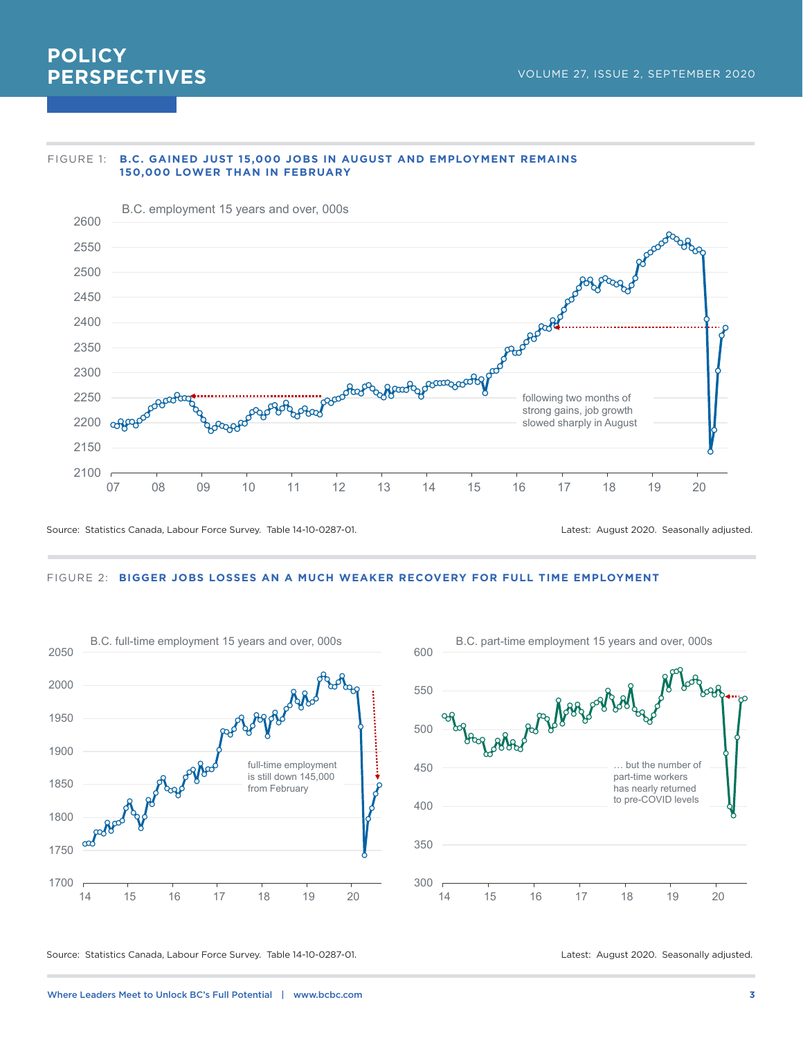#### FIGURE 1: **B.C. GAINED JUST 15,000 JOBS IN AUGUST AND EMPLOYMENT REMAINS 150,000 LOWER THAN IN FEBRUARY**



Source: Statistics Canada, Labour Force Survey. Table 14-10-0287-01. Latest: August 2020. Seasonally adjusted.

#### FIGURE 2: **BIGGER JOBS LOSSES AN A MUCH WEAKER RECOVERY FOR FULL TIME EMPLOYMENT**





Source: Statistics Canada, Labour Force Survey. Table 14-10-0287-01. Latest: August 2020. Seasonally adjusted.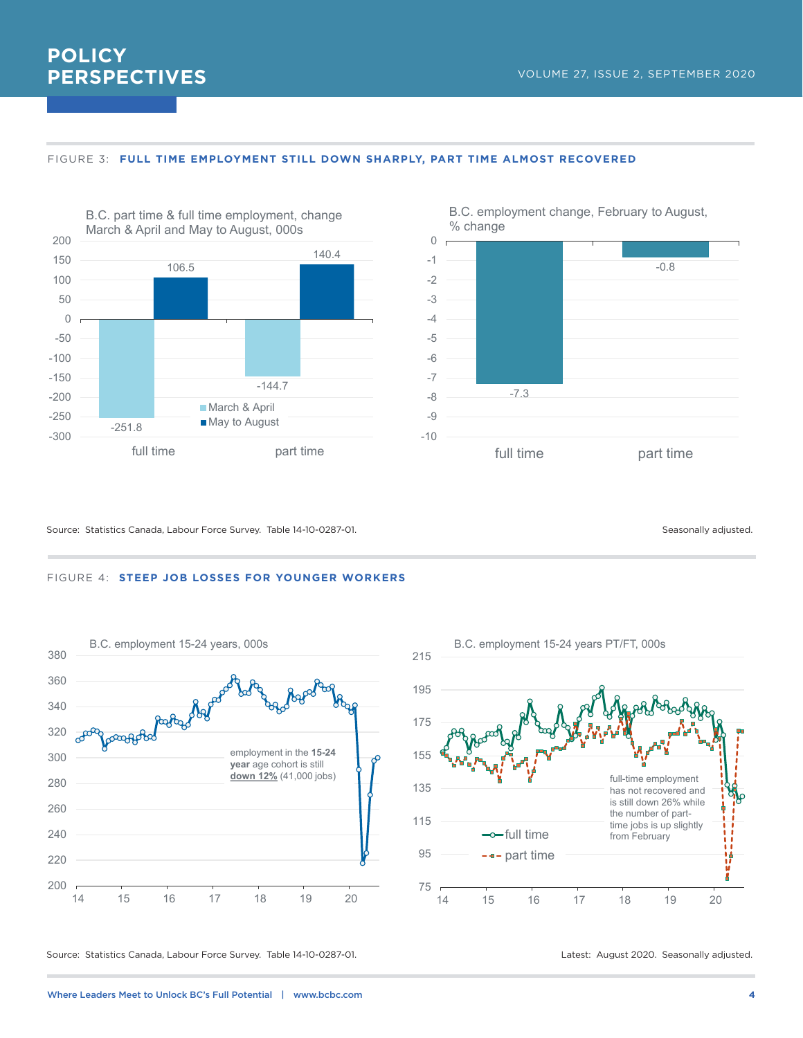



#### FIGURE 3: **FULL TIME EMPLOYMENT STILL DOWN SHARPLY, PART TIME ALMOST RECOVERED**



**POLICY**

**PERSPECTIVES**

B.C. employment change, February to August, % change

#### Source: Statistics Canada, Labour Force Survey. Table 14-10-0287-01. Seasonally adjusted. Seasonally adjusted.







Source: Statistics Canada, Labour Force Survey. Table 14-10-0287-01. Latest: August 2020. Seasonally adjusted.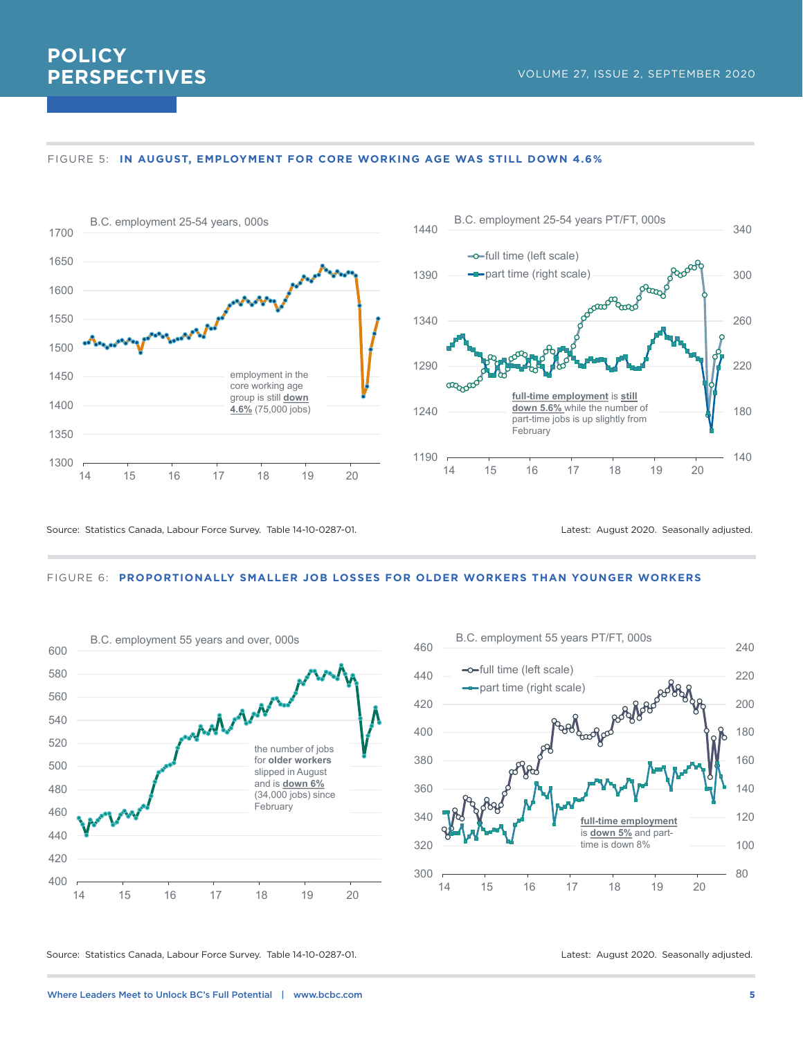



Source: Statistics Canada, Labour Force Survey. Table 14-10-0287-01. Compared the statest: August 2020. Seasonally adjusted.

#### FIGURE 6: **PROPORTIONALLY SMALLER JOB LOSSES FOR OLDER WORKERS THAN YOUNGER WORKERS**





Source: Statistics Canada, Labour Force Survey. Table 14-10-0287-01. Latest: August 2020. Seasonally adjusted.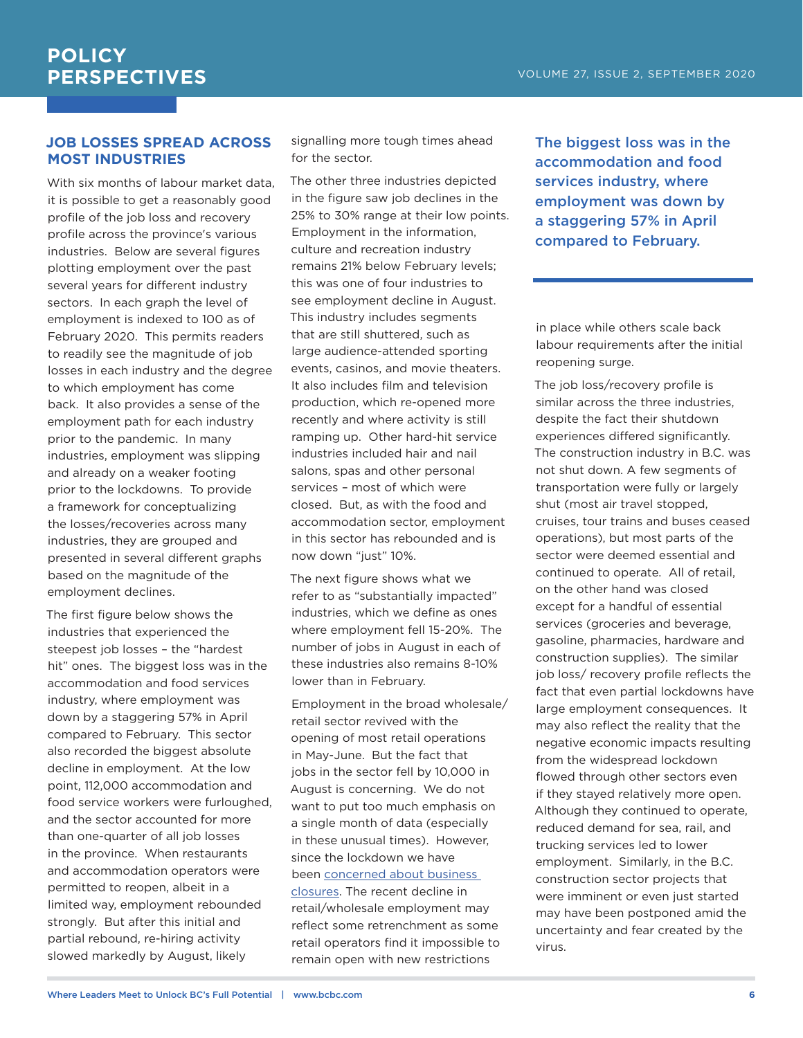### **JOB LOSSES SPREAD ACROSS MOST INDUSTRIES**

With six months of labour market data, it is possible to get a reasonably good profile of the job loss and recovery profile across the province's various industries. Below are several figures plotting employment over the past several years for different industry sectors. In each graph the level of employment is indexed to 100 as of February 2020. This permits readers to readily see the magnitude of job losses in each industry and the degree to which employment has come back. It also provides a sense of the employment path for each industry prior to the pandemic. In many industries, employment was slipping and already on a weaker footing prior to the lockdowns. To provide a framework for conceptualizing the losses/recoveries across many industries, they are grouped and presented in several different graphs based on the magnitude of the employment declines.

The first figure below shows the industries that experienced the steepest job losses – the "hardest hit" ones. The biggest loss was in the accommodation and food services industry, where employment was down by a staggering 57% in April compared to February. This sector also recorded the biggest absolute decline in employment. At the low point, 112,000 accommodation and food service workers were furloughed, and the sector accounted for more than one-quarter of all job losses in the province. When restaurants and accommodation operators were permitted to reopen, albeit in a limited way, employment rebounded strongly. But after this initial and partial rebound, re-hiring activity slowed markedly by August, likely

signalling more tough times ahead for the sector.

The other three industries depicted in the figure saw job declines in the 25% to 30% range at their low points. Employment in the information, culture and recreation industry remains 21% below February levels; this was one of four industries to see employment decline in August. This industry includes segments that are still shuttered, such as large audience-attended sporting events, casinos, and movie theaters. It also includes film and television production, which re-opened more recently and where activity is still ramping up. Other hard-hit service industries included hair and nail salons, spas and other personal services – most of which were closed. But, as with the food and accommodation sector, employment in this sector has rebounded and is now down "just" 10%.

The next figure shows what we refer to as "substantially impacted" industries, which we define as ones where employment fell 15-20%. The number of jobs in August in each of these industries also remains 8-10% lower than in February.

Employment in the broad wholesale/ retail sector revived with the opening of most retail operations in May-June. But the fact that jobs in the sector fell by 10,000 in August is concerning. We do not want to put too much emphasis on a single month of data (especially in these unusual times). However, since the lockdown we have been [concerned about business](https://bcbc.com/insights-and-opinions/business-destruction-and-covid-19)  [closures.](https://bcbc.com/insights-and-opinions/business-destruction-and-covid-19) The recent decline in retail/wholesale employment may reflect some retrenchment as some retail operators find it impossible to remain open with new restrictions

The biggest loss was in the accommodation and food services industry, where employment was down by a staggering 57% in April compared to February.

in place while others scale back labour requirements after the initial reopening surge.

The job loss/recovery profile is similar across the three industries, despite the fact their shutdown experiences differed significantly. The construction industry in B.C. was not shut down. A few segments of transportation were fully or largely shut (most air travel stopped, cruises, tour trains and buses ceased operations), but most parts of the sector were deemed essential and continued to operate. All of retail, on the other hand was closed except for a handful of essential services (groceries and beverage, gasoline, pharmacies, hardware and construction supplies). The similar job loss/ recovery profile reflects the fact that even partial lockdowns have large employment consequences. It may also reflect the reality that the negative economic impacts resulting from the widespread lockdown flowed through other sectors even if they stayed relatively more open. Although they continued to operate, reduced demand for sea, rail, and trucking services led to lower employment. Similarly, in the B.C. construction sector projects that were imminent or even just started may have been postponed amid the uncertainty and fear created by the virus.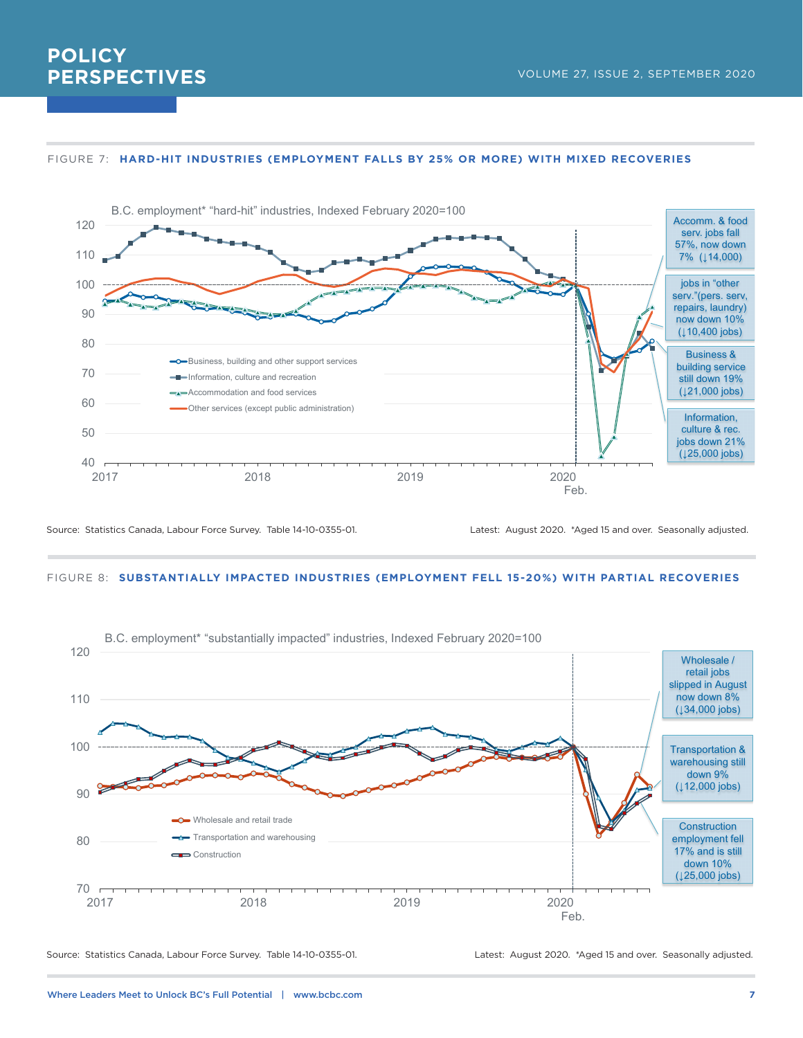#### FIGURE 7: **HARD-HIT INDUSTRIES (EMPLOYMENT FALLS BY 25% OR MORE) WITH MIXED RECOVERIES**



Source: Statistics Canada, Labour Force Survey. Table 14-10-0355-01. Latest: August 2020. \*Aged 15 and over. Seasonally adjusted.

#### FIGURE 8: **SUBSTANTIALLY IMPACTED INDUSTRIES (EMPLOYMENT FELL 15-20%) WITH PARTIAL RECOVERIES**



Source: Statistics Canada, Labour Force Survey. Table 14-10-0355-01. Latest: August 2020. \*Aged 15 and over. Seasonally adjusted.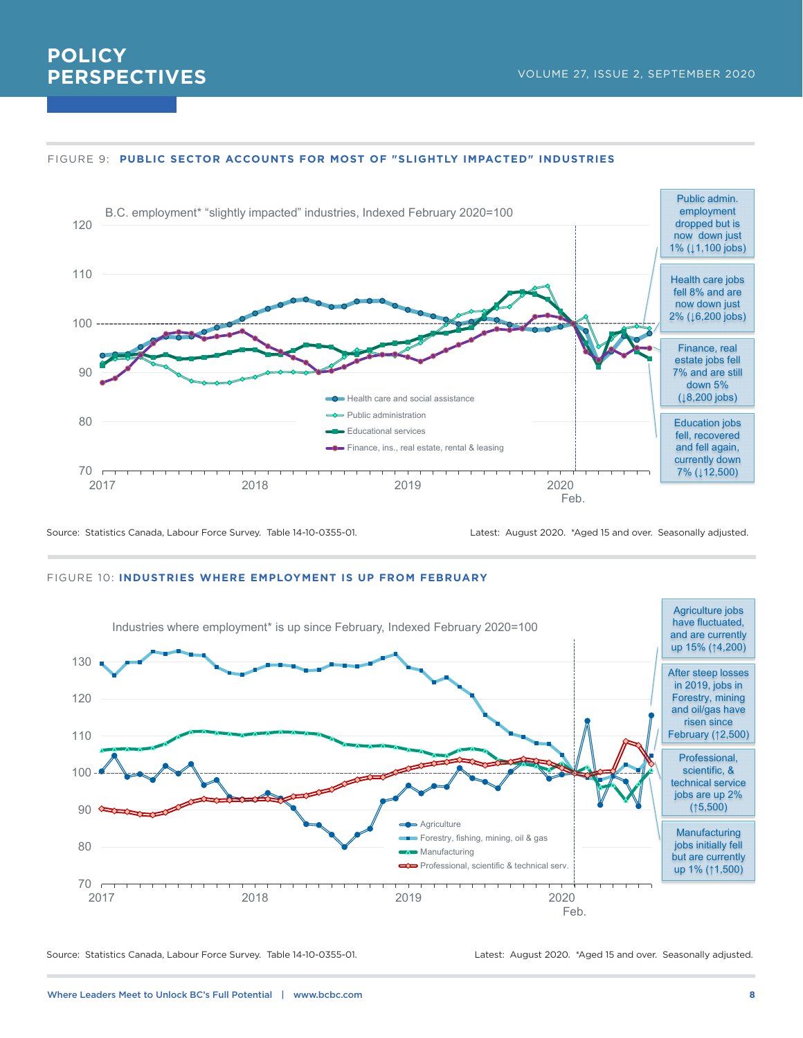#### FIGURE 9: **PUBLIC SECTOR ACCOUNTS FOR MOST OF "SLIGHTLY IMPACTED" INDUSTRIES**



Source: Statistics Canada, Labour Force Survey. Table 14-10-0355-01. Latest: August 2020. \*Aged 15 and over. Seasonally adjusted.

#### FIGURE 10: **INDUSTRIES WHERE EMPLOYMENT IS UP FROM FEBRUARY**



Source: Statistics Canada, Labour Force Survey. Table 14-10-0355-01. Latest: August 2020. \*Aged 15 and over. Seasonally adjusted.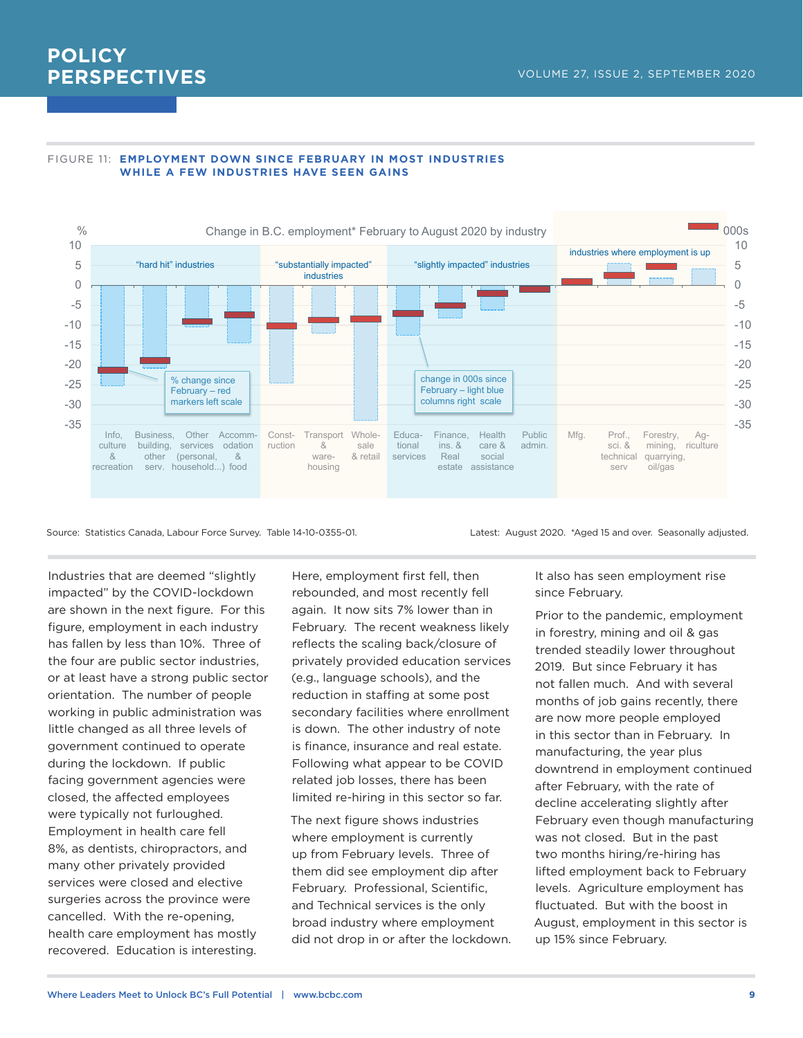

#### FIGURE 11: **EMPLOYMENT DOWN SINCE FEBRUARY IN MOST INDUSTRIES WHILE A FEW INDUSTRIES HAVE SEEN GAINS**

Source: Statistics Canada, Labour Force Survey. Table 14-10-0355-01. Latest: August 2020. \*Aged 15 and over. Seasonally adjusted.

Industries that are deemed "slightly impacted" by the COVID-lockdown are shown in the next figure. For this figure, employment in each industry has fallen by less than 10%. Three of the four are public sector industries, or at least have a strong public sector orientation. The number of people working in public administration was little changed as all three levels of government continued to operate during the lockdown. If public facing government agencies were closed, the affected employees were typically not furloughed. Employment in health care fell 8%, as dentists, chiropractors, and many other privately provided services were closed and elective surgeries across the province were cancelled. With the re-opening, health care employment has mostly recovered. Education is interesting.

Here, employment first fell, then rebounded, and most recently fell again. It now sits 7% lower than in February. The recent weakness likely reflects the scaling back/closure of privately provided education services (e.g., language schools), and the reduction in staffing at some post secondary facilities where enrollment is down. The other industry of note is finance, insurance and real estate. Following what appear to be COVID related job losses, there has been limited re-hiring in this sector so far.

The next figure shows industries where employment is currently up from February levels. Three of them did see employment dip after February. Professional, Scientific, and Technical services is the only broad industry where employment did not drop in or after the lockdown.

It also has seen employment rise since February.

Prior to the pandemic, employment in forestry, mining and oil & gas trended steadily lower throughout 2019. But since February it has not fallen much. And with several months of job gains recently, there are now more people employed in this sector than in February. In manufacturing, the year plus downtrend in employment continued after February, with the rate of decline accelerating slightly after February even though manufacturing was not closed. But in the past two months hiring/re-hiring has lifted employment back to February levels. Agriculture employment has fluctuated. But with the boost in August, employment in this sector is up 15% since February.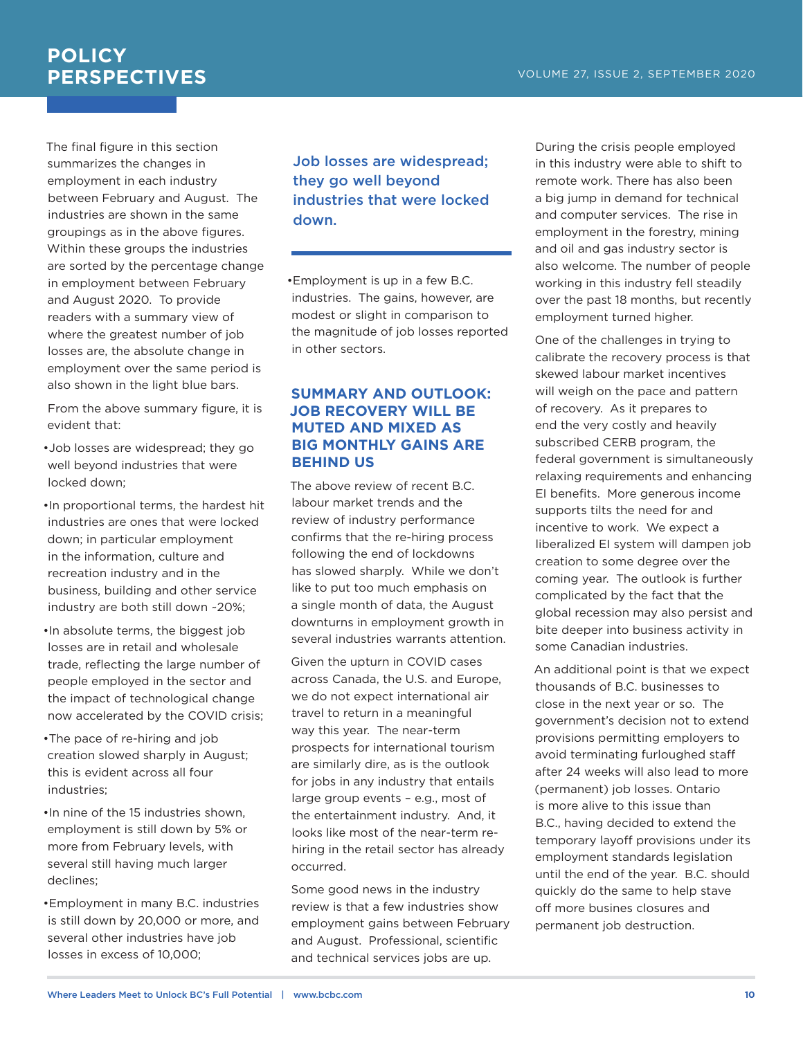The final figure in this section summarizes the changes in employment in each industry between February and August. The industries are shown in the same groupings as in the above figures. Within these groups the industries are sorted by the percentage change in employment between February and August 2020. To provide readers with a summary view of where the greatest number of job losses are, the absolute change in employment over the same period is also shown in the light blue bars.

From the above summary figure, it is evident that:

- •Job losses are widespread; they go well beyond industries that were locked down;
- •In proportional terms, the hardest hit industries are ones that were locked down; in particular employment in the information, culture and recreation industry and in the business, building and other service industry are both still down ~20%;
- •In absolute terms, the biggest job losses are in retail and wholesale trade, reflecting the large number of people employed in the sector and the impact of technological change now accelerated by the COVID crisis;
- •The pace of re-hiring and job creation slowed sharply in August; this is evident across all four industries;
- •In nine of the 15 industries shown, employment is still down by 5% or more from February levels, with several still having much larger declines;
- •Employment in many B.C. industries is still down by 20,000 or more, and several other industries have job losses in excess of 10,000;

Job losses are widespread; they go well beyond industries that were locked down.

•Employment is up in a few B.C. industries. The gains, however, are modest or slight in comparison to the magnitude of job losses reported in other sectors.

#### **SUMMARY AND OUTLOOK: JOB RECOVERY WILL BE MUTED AND MIXED AS BIG MONTHLY GAINS ARE BEHIND US**

The above review of recent B.C. labour market trends and the review of industry performance confirms that the re-hiring process following the end of lockdowns has slowed sharply. While we don't like to put too much emphasis on a single month of data, the August downturns in employment growth in several industries warrants attention.

Given the upturn in COVID cases across Canada, the U.S. and Europe, we do not expect international air travel to return in a meaningful way this year. The near-term prospects for international tourism are similarly dire, as is the outlook for jobs in any industry that entails large group events – e.g., most of the entertainment industry. And, it looks like most of the near-term rehiring in the retail sector has already occurred.

Some good news in the industry review is that a few industries show employment gains between February and August. Professional, scientific and technical services jobs are up.

During the crisis people employed in this industry were able to shift to remote work. There has also been a big jump in demand for technical and computer services. The rise in employment in the forestry, mining and oil and gas industry sector is also welcome. The number of people working in this industry fell steadily over the past 18 months, but recently employment turned higher.

One of the challenges in trying to calibrate the recovery process is that skewed labour market incentives will weigh on the pace and pattern of recovery. As it prepares to end the very costly and heavily subscribed CERB program, the federal government is simultaneously relaxing requirements and enhancing EI benefits. More generous income supports tilts the need for and incentive to work. We expect a liberalized EI system will dampen job creation to some degree over the coming year. The outlook is further complicated by the fact that the global recession may also persist and bite deeper into business activity in some Canadian industries.

An additional point is that we expect thousands of B.C. businesses to close in the next year or so. The government's decision not to extend provisions permitting employers to avoid terminating furloughed staff after 24 weeks will also lead to more (permanent) job losses. Ontario is more alive to this issue than B.C., having decided to extend the temporary layoff provisions under its employment standards legislation until the end of the year. B.C. should quickly do the same to help stave off more busines closures and permanent job destruction.